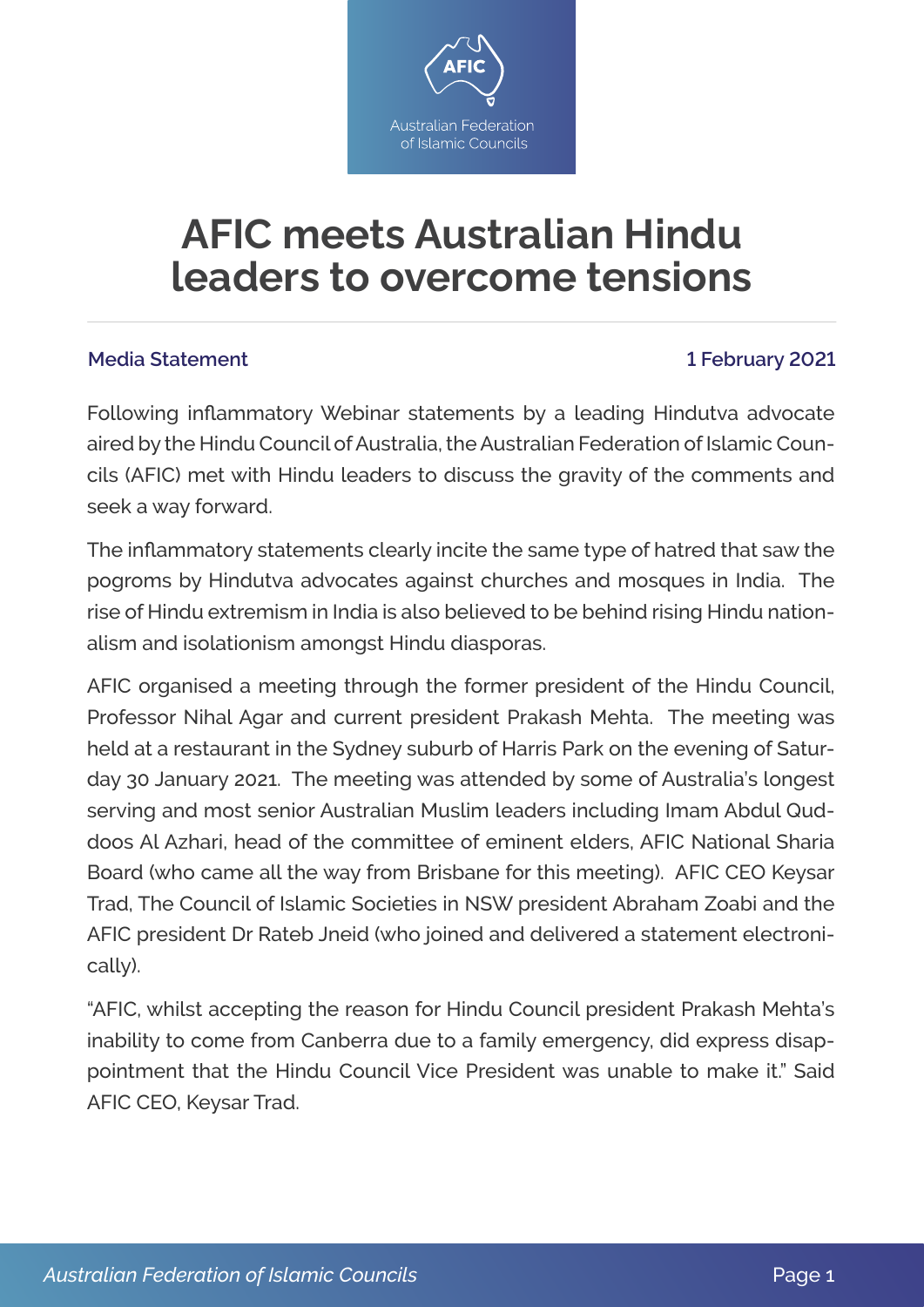

## **AFIC meets Australian Hindu leaders to overcome tensions**

## **Media Statement 1 February 2021**

Following inflammatory Webinar statements by a leading Hindutva advocate aired by the Hindu Council of Australia, the Australian Federation of Islamic Councils (AFIC) met with Hindu leaders to discuss the gravity of the comments and seek a way forward.

The inflammatory statements clearly incite the same type of hatred that saw the pogroms by Hindutva advocates against churches and mosques in India. The rise of Hindu extremism in India is also believed to be behind rising Hindu nationalism and isolationism amongst Hindu diasporas.

AFIC organised a meeting through the former president of the Hindu Council, Professor Nihal Agar and current president Prakash Mehta. The meeting was held at a restaurant in the Sydney suburb of Harris Park on the evening of Saturday 30 January 2021. The meeting was attended by some of Australia's longest serving and most senior Australian Muslim leaders including Imam Abdul Quddoos Al Azhari, head of the committee of eminent elders, AFIC National Sharia Board (who came all the way from Brisbane for this meeting). AFIC CEO Keysar Trad, The Council of Islamic Societies in NSW president Abraham Zoabi and the AFIC president Dr Rateb Jneid (who joined and delivered a statement electronically).

"AFIC, whilst accepting the reason for Hindu Council president Prakash Mehta's inability to come from Canberra due to a family emergency, did express disappointment that the Hindu Council Vice President was unable to make it." Said AFIC CEO, Keysar Trad.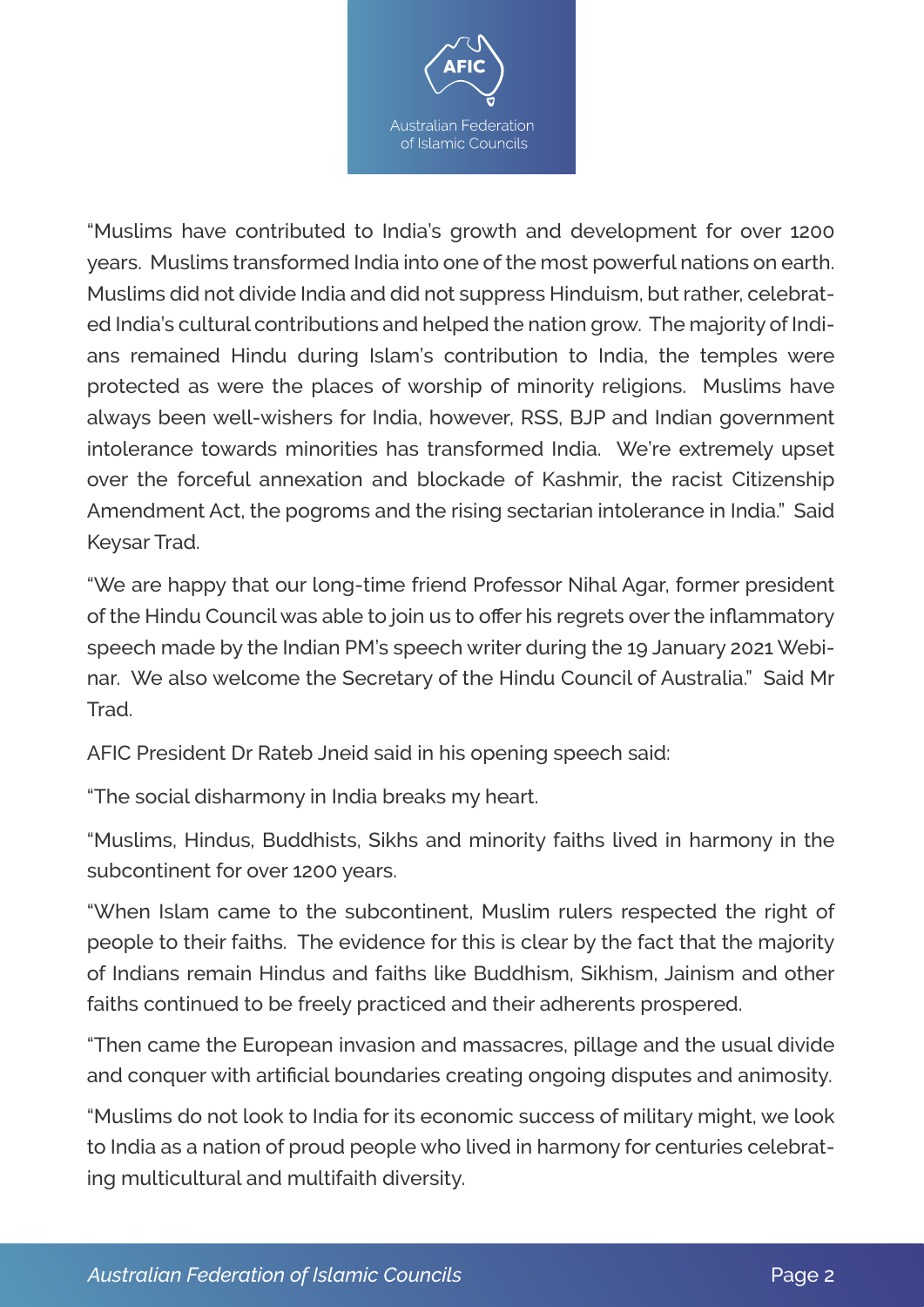

"Muslims have contributed to India's growth and development for over 1200 years. Muslims transformed India into one of the most powerful nations on earth. Muslims did not divide India and did not suppress Hinduism, but rather, celebrated India's cultural contributions and helped the nation grow. The majority of Indians remained Hindu during Islam's contribution to India, the temples were protected as were the places of worship of minority religions. Muslims have always been well-wishers for India, however, RSS, BJP and Indian government intolerance towards minorities has transformed India. We're extremely upset over the forceful annexation and blockade of Kashmir, the racist Citizenship Amendment Act, the pogroms and the rising sectarian intolerance in India." Said Keysar Trad.

"We are happy that our long-time friend Professor Nihal Agar, former president of the Hindu Council was able to join us to offer his regrets over the inflammatory speech made by the Indian PM's speech writer during the 19 January 2021 Webinar. We also welcome the Secretary of the Hindu Council of Australia." Said Mr **Trad** 

AFIC President Dr Rateb Jneid said in his opening speech said:

"The social disharmony in India breaks my heart.

"Muslims, Hindus, Buddhists, Sikhs and minority faiths lived in harmony in the subcontinent for over 1200 years.

"When Islam came to the subcontinent, Muslim rulers respected the right of people to their faiths. The evidence for this is clear by the fact that the majority of Indians remain Hindus and faiths like Buddhism, Sikhism, Jainism and other faiths continued to be freely practiced and their adherents prospered.

"Then came the European invasion and massacres, pillage and the usual divide and conquer with artificial boundaries creating ongoing disputes and animosity.

"Muslims do not look to India for its economic success of military might, we look to India as a nation of proud people who lived in harmony for centuries celebrating multicultural and multifaith diversity.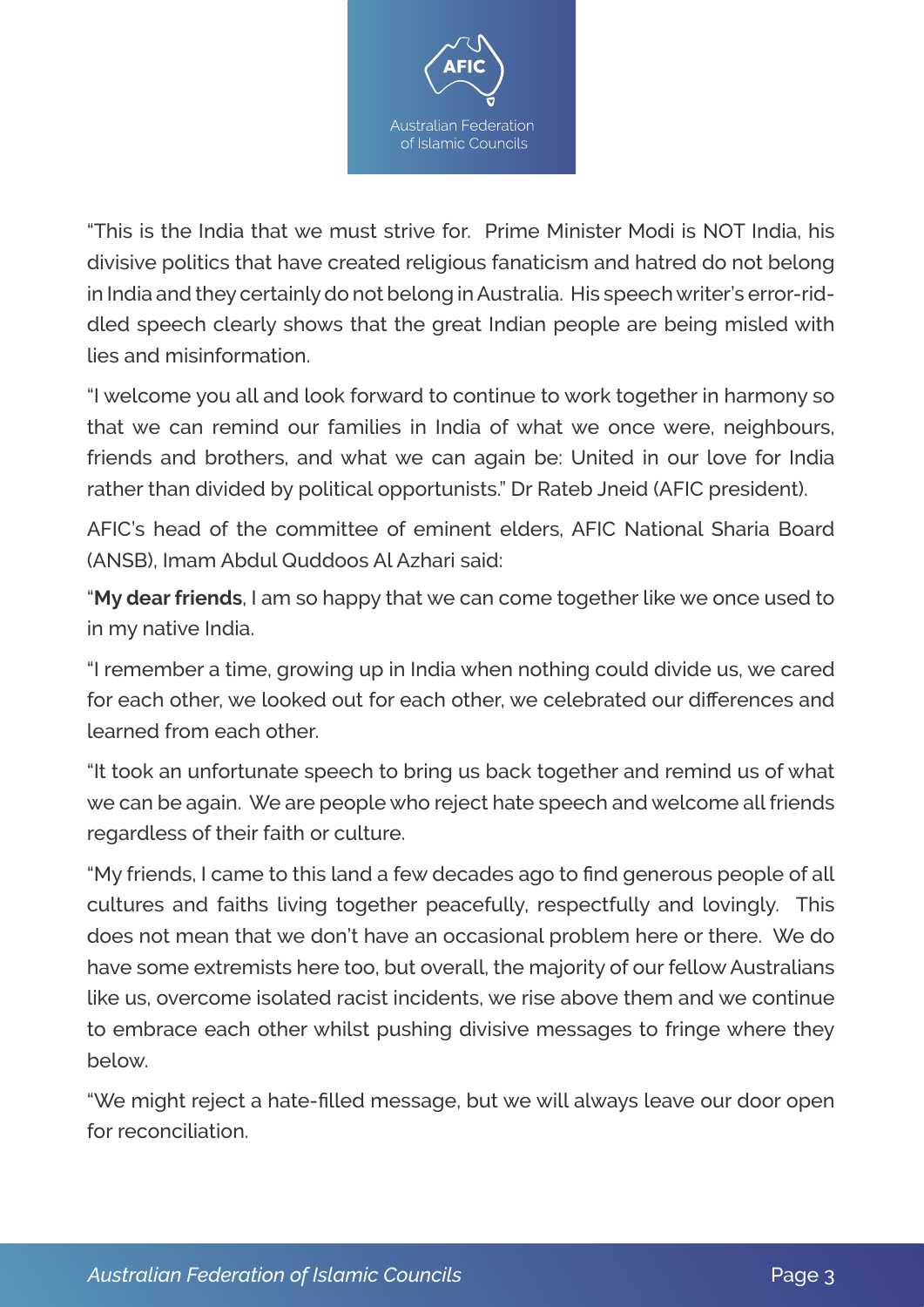

"This is the India that we must strive for. Prime Minister Modi is NOT India, his divisive politics that have created religious fanaticism and hatred do not belong in India and they certainly do not belong in Australia. His speech writer's error-riddled speech clearly shows that the great Indian people are being misled with lies and misinformation.

"I welcome you all and look forward to continue to work together in harmony so that we can remind our families in India of what we once were, neighbours, friends and brothers, and what we can again be: United in our love for India rather than divided by political opportunists." Dr Rateb Jneid (AFIC president).

AFIC's head of the committee of eminent elders, AFIC National Sharia Board (ANSB), Imam Abdul Quddoos Al Azhari said:

"**My dear friends**, I am so happy that we can come together like we once used to in my native India.

"I remember a time, growing up in India when nothing could divide us, we cared for each other, we looked out for each other, we celebrated our differences and learned from each other.

"It took an unfortunate speech to bring us back together and remind us of what we can be again. We are people who reject hate speech and welcome all friends regardless of their faith or culture.

"My friends, I came to this land a few decades ago to find generous people of all cultures and faiths living together peacefully, respectfully and lovingly. This does not mean that we don't have an occasional problem here or there. We do have some extremists here too, but overall, the majority of our fellow Australians like us, overcome isolated racist incidents, we rise above them and we continue to embrace each other whilst pushing divisive messages to fringe where they below.

"We might reject a hate-filled message, but we will always leave our door open for reconciliation.